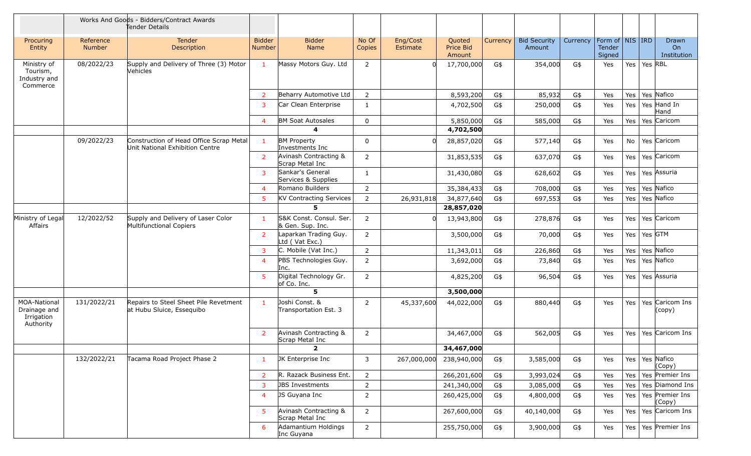|                                                                |                            | Works And Goods - Bidders/Contract Awards<br>Tender Details                |                                |                                             |                 |                      |                               |          |                               |          |                                                     |     |         |                            |
|----------------------------------------------------------------|----------------------------|----------------------------------------------------------------------------|--------------------------------|---------------------------------------------|-----------------|----------------------|-------------------------------|----------|-------------------------------|----------|-----------------------------------------------------|-----|---------|----------------------------|
| Procuring<br>Entity                                            | Reference<br><b>Number</b> | Tender<br>Description                                                      | <b>Bidder</b><br><b>Number</b> | <b>Bidder</b><br>Name                       | No Of<br>Copies | Eng/Cost<br>Estimate | Quoted<br>Price Bid<br>Amount | Currency | <b>Bid Security</b><br>Amount | Currency | Form of $\vert$ NIS $\vert$ IRD<br>Tender<br>Signed |     |         | Drawn<br>On<br>Institution |
| Ministry of<br>Tourism,<br>Industry and<br>Commerce            | 08/2022/23                 | Supply and Delivery of Three (3) Motor<br>Vehicles                         | $\mathbf{1}$                   | Massy Motors Guy. Ltd                       | 2               |                      | 17,700,000                    | G\$      | 354,000                       | G\$      | Yes                                                 | Yes | Yes RBL |                            |
|                                                                |                            |                                                                            | $\overline{2}$                 | Beharry Automotive Ltd                      | $\overline{2}$  |                      | 8,593,200                     | G\$      | 85,932                        | G\$      | Yes                                                 | Yes |         | Yes Nafico                 |
|                                                                |                            |                                                                            | $\mathbf{3}$                   | Car Clean Enterprise                        | $\mathbf{1}$    |                      | 4,702,500                     | G\$      | 250,000                       | G\$      | Yes                                                 | Yes |         | Yes Hand In<br>Hand        |
|                                                                |                            |                                                                            | $\overline{4}$                 | <b>BM Soat Autosales</b>                    | $\mathbf 0$     |                      | 5,850,000                     | G\$      | 585,000                       | G\$      | Yes                                                 | Yes |         | Yes Caricom                |
|                                                                |                            |                                                                            |                                | 4                                           |                 |                      | 4,702,500                     |          |                               |          |                                                     |     |         |                            |
|                                                                | 09/2022/23                 | Construction of Head Office Scrap Metal<br>Unit National Exhibition Centre | $\mathbf{1}$                   | <b>BM Property</b><br>Investments Inc       | 0               |                      | 28,857,020                    | G\$      | 577,140                       | G\$      | Yes                                                 | No  |         | Yes Caricom                |
|                                                                |                            |                                                                            | $\overline{2}$                 | Avinash Contracting &<br>Scrap Metal Inc    | $\overline{2}$  |                      | 31,853,535                    | G\$      | 637,070                       | G\$      | Yes                                                 | Yes |         | Yes Caricom                |
|                                                                |                            |                                                                            | $\overline{3}$                 | Sankar's General<br>Services & Supplies     | 1               |                      | 31,430,080                    | G\$      | 628,602                       | G\$      | Yes                                                 | Yes |         | Yes Assuria                |
|                                                                |                            |                                                                            | $\overline{4}$                 | Romano Builders                             | 2               |                      | 35,384,433                    | G\$      | 708,000                       | G\$      | Yes                                                 | Yes |         | Yes Nafico                 |
|                                                                |                            |                                                                            | $5\phantom{.0}$                | KV Contracting Services                     | $\overline{2}$  | 26,931,818           | 34,877,640                    | G\$      | 697,553                       | G\$      | Yes                                                 | Yes |         | Yes Nafico                 |
|                                                                |                            |                                                                            |                                | 5                                           |                 |                      | 28,857,020                    |          |                               |          |                                                     |     |         |                            |
| Ministry of Legal<br>Affairs                                   | 12/2022/52                 | Supply and Delivery of Laser Color<br>Multifunctional Copiers              | -1                             | S&K Const. Consul. Ser.<br>& Gen. Sup. Inc. | $\overline{2}$  |                      | 13,943,800                    | G\$      | 278,876                       | G\$      | Yes                                                 | Yes |         | Yes Caricom                |
|                                                                |                            |                                                                            | $\overline{2}$                 | Laparkan Trading Guy.<br>Ltd (Vat Exc.)     | $\overline{2}$  |                      | 3,500,000                     | G\$      | 70,000                        | G\$      | Yes                                                 | Yes | Yes GTM |                            |
|                                                                |                            |                                                                            | $\mathbf{3}$                   | C. Mobile (Vat Inc.)                        | 2               |                      | 11,343,011                    | G\$      | 226,860                       | G\$      | Yes                                                 | Yes |         | Yes Nafico                 |
|                                                                |                            |                                                                            | $\overline{4}$                 | PBS Technologies Guy.<br>Inc.               | $\overline{2}$  |                      | 3,692,000                     | G\$      | 73,840                        | G\$      | Yes                                                 | Yes |         | Yes Nafico                 |
|                                                                |                            |                                                                            | 5 <sup>5</sup>                 | Digital Technology Gr.<br>of Co. Inc.       | $\overline{2}$  |                      | 4,825,200                     | G\$      | 96,504                        | G\$      | Yes                                                 | Yes |         | Yes Assuria                |
|                                                                |                            |                                                                            |                                | 5                                           |                 |                      | 3,500,000                     |          |                               |          |                                                     |     |         |                            |
| <b>MOA-National</b><br>Drainage and<br>Irrigation<br>Authority | 131/2022/21                | Repairs to Steel Sheet Pile Revetment<br>at Hubu Sluice, Essequibo         | $\mathbf{1}$                   | Joshi Const. &<br>Transportation Est. 3     | $\overline{2}$  | 45,337,600           | 44,022,000                    | G\$      | 880,440                       | G\$      | Yes                                                 | Yes |         | Yes Caricom Ins<br>(copy)  |
|                                                                |                            |                                                                            | 2                              | Avinash Contracting &<br>Scrap Metal Inc    | $\overline{2}$  |                      | 34,467,000                    | G\$      | 562,005                       | G\$      | Yes                                                 | Yes |         | Yes Caricom Ins            |
|                                                                |                            |                                                                            |                                | $\mathbf{2}$                                |                 |                      | 34,467,000                    |          |                               |          |                                                     |     |         |                            |
|                                                                | 132/2022/21                | Tacama Road Project Phase 2                                                | -1                             | JK Enterprise Inc                           | 3               | 267,000,000          | 238,940,000                   | G\$      | 3,585,000                     | G\$      | Yes                                                 | Yes |         | Yes Nafico<br>(Copy)       |
|                                                                |                            |                                                                            | $\overline{2}$                 | R. Razack Business Ent.                     | $\overline{2}$  |                      | 266,201,600                   | G\$      | 3,993,024                     | G\$      | Yes                                                 | Yes |         | Yes Premier Ins            |
|                                                                |                            |                                                                            | 3                              | <b>JBS Investments</b>                      | $\overline{2}$  |                      | 241,340,000                   | G\$      | 3,085,000                     | G\$      | Yes                                                 | Yes |         | Yes Diamond Ins            |
|                                                                |                            |                                                                            | $\overline{4}$                 | JS Guyana Inc                               | $\overline{2}$  |                      | 260,425,000                   | G\$      | 4,800,000                     | G\$      | Yes                                                 | Yes |         | Yes Premier Ins<br>(Copy)  |
|                                                                |                            |                                                                            | 5                              | Avinash Contracting &<br>Scrap Metal Inc    | $\overline{2}$  |                      | 267,600,000                   | G\$      | 40,140,000                    | G\$      | Yes                                                 | Yes |         | Yes Caricom Ins            |
|                                                                |                            |                                                                            | 6                              | Adamantium Holdings<br>Inc Guyana           | $\overline{2}$  |                      | 255,750,000                   | G\$      | 3,900,000                     | G\$      | Yes                                                 | Yes |         | Yes Premier Ins            |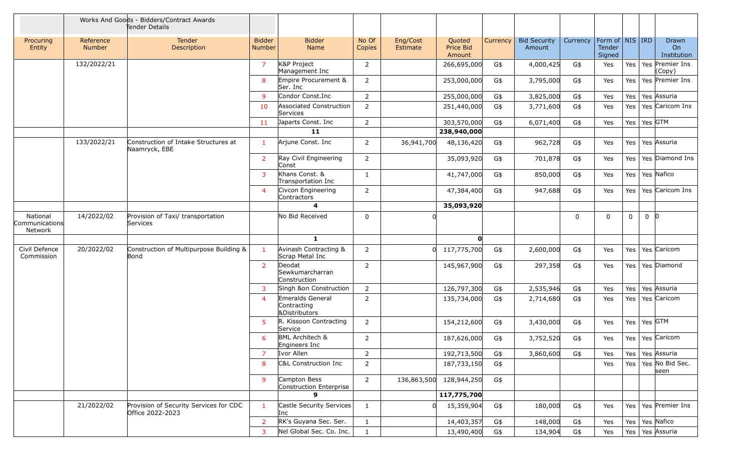|                                       | Works And Goods - Bidders/Contract Awards<br>Tender Details |                                                            |                                |                                                             |                 |                      |                               |          |                               |          |                                                     |             |             |                            |
|---------------------------------------|-------------------------------------------------------------|------------------------------------------------------------|--------------------------------|-------------------------------------------------------------|-----------------|----------------------|-------------------------------|----------|-------------------------------|----------|-----------------------------------------------------|-------------|-------------|----------------------------|
| Procuring<br>Entity                   | Reference<br><b>Number</b>                                  | Tender<br>Description                                      | <b>Bidder</b><br><b>Number</b> | <b>Bidder</b><br>Name                                       | No Of<br>Copies | Eng/Cost<br>Estimate | Quoted<br>Price Bid<br>Amount | Currency | <b>Bid Security</b><br>Amount | Currency | Form of $\vert$ NIS $\vert$ IRD<br>Tender<br>Signed |             |             | Drawn<br>On<br>Institution |
|                                       | 132/2022/21                                                 |                                                            | $\overline{7}$                 | K&P Project<br>Management Inc                               | $\overline{2}$  |                      | 266,695,000                   | G\$      | 4,000,425                     | G\$      | Yes                                                 | Yes         |             | Yes Premier Ins<br>Copy)   |
|                                       |                                                             |                                                            | 8                              | Empire Procurement &<br>Ser. Inc                            | $\overline{2}$  |                      | 253,000,000                   | G\$      | 3,795,000                     | G\$      | Yes                                                 | Yes         |             | Yes Premier Ins            |
|                                       |                                                             |                                                            | 9                              | Condor Const.Inc                                            | $\overline{2}$  |                      | 255,000,000                   | G\$      | 3,825,000                     | G\$      | Yes                                                 | Yes         |             | Yes Assuria                |
|                                       |                                                             |                                                            | 10                             | Associated Construction<br>Services                         | $\overline{2}$  |                      | 251,440,000                   | G\$      | 3,771,600                     | G\$      | Yes                                                 | Yes         |             | Yes Caricom Ins            |
|                                       |                                                             |                                                            | 11                             | Japarts Const. Inc                                          | $\overline{2}$  |                      | 303,570,000                   | G\$      | 6,071,400                     | G\$      | Yes                                                 | Yes         | Yes GTM     |                            |
|                                       |                                                             |                                                            |                                | 11                                                          |                 |                      | 238,940,000                   |          |                               |          |                                                     |             |             |                            |
|                                       | 133/2022/21                                                 | Construction of Intake Structures at<br>Naamryck, EBE      | $\mathbf{1}$                   | Arjune Const. Inc                                           | $\overline{2}$  | 36,941,700           | 48,136,420                    | G\$      | 962,728                       | G\$      | Yes                                                 | Yes         |             | Yes Assuria                |
|                                       |                                                             |                                                            | $\overline{2}$                 | Ray Civil Engineering<br>Const                              | $\overline{2}$  |                      | 35,093,920                    | G\$      | 701,878                       | G\$      | Yes                                                 | Yes         |             | Yes Diamond Ins            |
|                                       |                                                             |                                                            | 3                              | Khans Const. &<br>Transportation Inc                        | $\mathbf{1}$    |                      | 41,747,000                    | G\$      | 850,000                       | G\$      | Yes                                                 | Yes         |             | Yes Nafico                 |
|                                       |                                                             |                                                            | $\overline{4}$                 | Civcon Engineering<br>Contractors                           | $\overline{2}$  |                      | 47,384,400                    | G\$      | 947,688                       | G\$      | Yes                                                 | Yes         |             | Yes Caricom Ins            |
|                                       |                                                             |                                                            |                                | $\overline{\mathbf{4}}$                                     |                 |                      | 35,093,920                    |          |                               |          |                                                     |             |             |                            |
| National<br>Communications<br>Network | 14/2022/02                                                  | Provision of Taxi/ transportation<br>Services              |                                | No Bid Received                                             | 0               |                      |                               |          |                               | 0        | $\mathbf{0}$                                        | $\mathbf 0$ | $0 \vert 0$ |                            |
|                                       |                                                             |                                                            |                                | $\mathbf{1}$                                                |                 |                      | O                             |          |                               |          |                                                     |             |             |                            |
| Civil Defence<br>Commission           | 20/2022/02                                                  | Construction of Multipurpose Building &<br>Bond            | $\overline{1}$                 | Avinash Contracting &<br>Scrap Metal Inc                    | $\overline{2}$  |                      | 117,775,700                   | G\$      | 2,600,000                     | G\$      | Yes                                                 | Yes         |             | Yes Caricom                |
|                                       |                                                             |                                                            | $\overline{2}$                 | Deodat<br>Sewkumarcharran<br>Construction                   | $\overline{2}$  |                      | 145,967,900                   | G\$      | 297,358                       | G\$      | Yes                                                 | Yes         |             | Yes Diamond                |
|                                       |                                                             |                                                            | 3                              | Singh &on Construction                                      | $\overline{2}$  |                      | 126,797,300                   | G\$      | 2,535,946                     | G\$      | Yes                                                 | Yes         |             | Yes Assuria                |
|                                       |                                                             |                                                            | $\overline{4}$                 | Emeralds General<br>Contracting<br><b>&amp;Distributors</b> | $\overline{2}$  |                      | 135,734,000                   | G\$      | 2,714,680                     | G\$      | Yes                                                 | Yes         |             | Yes Caricom                |
|                                       |                                                             |                                                            | 5                              | R. Kissoon Contracting<br>Service                           | $\overline{2}$  |                      | 154,212,600                   | G\$      | 3,430,000                     | G\$      | Yes                                                 | Yes         | Yes GTM     |                            |
|                                       |                                                             |                                                            | 6                              | <b>BML Architech &amp;</b><br>Engineers Inc                 | $\overline{2}$  |                      | 187,626,000                   | G\$      | 3,752,520                     | G\$      | Yes                                                 | Yes         |             | Yes Caricom                |
|                                       |                                                             |                                                            | 7                              | Ivor Allen                                                  | 2               |                      | 192,713,500                   | G\$      | 3,860,600                     | G\$      | Yes                                                 | Yes         |             | Yes Assuria                |
|                                       |                                                             |                                                            | 8                              | C&L Construction Inc                                        | $\overline{2}$  |                      | 187,733,150                   | G\$      |                               |          | Yes                                                 | Yes         |             | Yes No Bid Sec.<br>seen    |
|                                       |                                                             |                                                            | 9                              | Campton Bess<br>Construction Enterprise                     | $\overline{2}$  | 136,863,500          | 128,944,250                   | G\$      |                               |          |                                                     |             |             |                            |
|                                       |                                                             |                                                            |                                | $\mathbf{Q}$                                                |                 |                      | 117,775,700                   |          |                               |          |                                                     |             |             |                            |
|                                       | 21/2022/02                                                  | Provision of Security Services for CDC<br>Office 2022-2023 | $\mathbf{1}$                   | Castle Security Services<br>Inc                             | 1               |                      | 15,359,904                    | G\$      | 180,000                       | G\$      | Yes                                                 | Yes         |             | Yes Premier Ins            |
|                                       |                                                             |                                                            | $\overline{2}$                 | RK's Guyana Sec. Ser.                                       | $\mathbf{1}$    |                      | 14,403,357                    | G\$      | 148,000                       | G\$      | Yes                                                 | Yes         |             | Yes Nafico                 |
|                                       |                                                             |                                                            | 3                              | Nel Global Sec. Co. Inc.                                    | $\mathbf{1}$    |                      | 13,490,400                    | G\$      | 134,904                       | G\$      | Yes                                                 | Yes         |             | Yes Assuria                |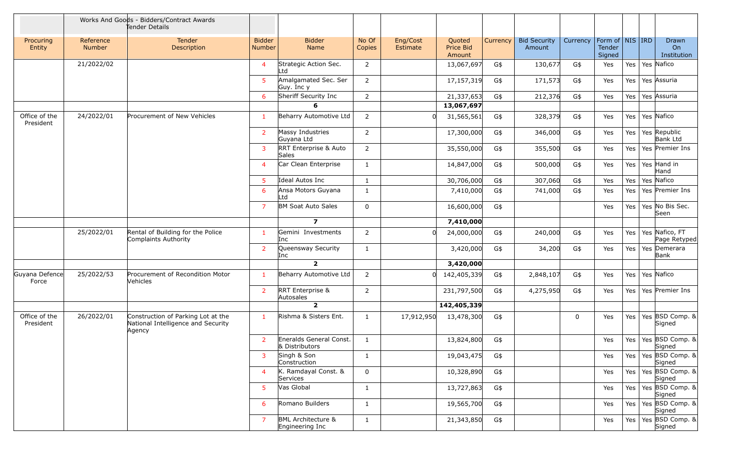|                            | Works And Goods - Bidders/Contract Awards<br>Tender Details |                                                                                    |                         |                                                  |                 |                      |                               |          |                               |          |                                                     |     |                                   |
|----------------------------|-------------------------------------------------------------|------------------------------------------------------------------------------------|-------------------------|--------------------------------------------------|-----------------|----------------------|-------------------------------|----------|-------------------------------|----------|-----------------------------------------------------|-----|-----------------------------------|
| Procuring<br>Entity        | Reference<br>Number                                         | <b>Tender</b><br>Description                                                       | <b>Bidder</b><br>Number | <b>Bidder</b><br>Name                            | No Of<br>Copies | Eng/Cost<br>Estimate | Quoted<br>Price Bid<br>Amount | Currency | <b>Bid Security</b><br>Amount | Currency | Form of $\vert$ NIS $\vert$ IRD<br>Tender<br>Signed |     | Drawn<br>On<br>Institution        |
|                            | 21/2022/02                                                  |                                                                                    | 4                       | Strategic Action Sec.<br>Ltd                     | 2               |                      | 13,067,697                    | G\$      | 130,677                       | G\$      | Yes                                                 | Yes | Yes Nafico                        |
|                            |                                                             |                                                                                    | 5                       | Amalgamated Sec. Ser<br>Guy. Inc y               | $\overline{2}$  |                      | 17,157,319                    | G\$      | 171,573                       | G\$      | Yes                                                 | Yes | Yes Assuria                       |
|                            |                                                             |                                                                                    | 6                       | Sheriff Security Inc                             | $\overline{2}$  |                      | 21,337,653                    | G\$      | 212,376                       | G\$      | Yes                                                 | Yes | Yes Assuria                       |
|                            |                                                             |                                                                                    |                         | 6                                                |                 |                      | 13,067,697                    |          |                               |          |                                                     |     |                                   |
| Office of the<br>President | 24/2022/01                                                  | Procurement of New Vehicles                                                        | 1                       | Beharry Automotive Ltd                           | $\overline{2}$  |                      | 31,565,561                    | G\$      | 328,379                       | G\$      | Yes                                                 | Yes | Yes Nafico                        |
|                            |                                                             |                                                                                    | $\overline{2}$          | Massy Industries<br>Guyana Ltd                   | $\overline{2}$  |                      | 17,300,000                    | G\$      | 346,000                       | G\$      | Yes                                                 | Yes | Yes Republic<br><b>Bank Ltd</b>   |
|                            |                                                             |                                                                                    | 3                       | RRT Enterprise & Auto<br>Sales                   | $\overline{2}$  |                      | 35,550,000                    | G\$      | 355,500                       | G\$      | Yes                                                 | Yes | Yes Premier Ins                   |
|                            |                                                             |                                                                                    | 4                       | Car Clean Enterprise                             | 1               |                      | 14,847,000                    | G\$      | 500,000                       | G\$      | Yes                                                 | Yes | Yes Hand in<br>Hand               |
|                            |                                                             |                                                                                    | $5^{\circ}$             | Ideal Autos Inc                                  | $\mathbf{1}$    |                      | 30,706,000                    | G\$      | 307,060                       | G\$      | Yes                                                 | Yes | Yes Nafico                        |
|                            |                                                             |                                                                                    | 6                       | Ansa Motors Guyana<br>Ltd                        | $\mathbf{1}$    |                      | 7,410,000                     | G\$      | 741,000                       | G\$      | Yes                                                 | Yes | Yes Premier Ins                   |
|                            |                                                             |                                                                                    | $\overline{7}$          | <b>BM Soat Auto Sales</b>                        | $\mathbf 0$     |                      | 16,600,000                    | G\$      |                               |          | Yes                                                 | Yes | Yes No Bis Sec.<br>Seen           |
|                            |                                                             |                                                                                    |                         | $\overline{z}$                                   |                 |                      | 7,410,000                     |          |                               |          |                                                     |     |                                   |
|                            | 25/2022/01                                                  | Rental of Building for the Police<br>Complaints Authority                          | 1                       | Gemini Investments<br>Inc                        | 2               |                      | 24,000,000                    | G\$      | 240,000                       | G\$      | Yes                                                 | Yes | Yes Nafico, FT<br>Page Retyped    |
|                            |                                                             |                                                                                    | $\overline{2}$          | Queensway Security<br>Inc                        | 1               |                      | 3,420,000                     | G\$      | 34,200                        | G\$      | Yes                                                 | Yes | Yes Demerara<br>Bank              |
|                            |                                                             |                                                                                    |                         | $\overline{2}$                                   |                 |                      | 3,420,000                     |          |                               |          |                                                     |     |                                   |
| Guyana Defence<br>Force    | 25/2022/53                                                  | Procurement of Recondition Motor<br>Vehicles                                       | 1                       | Beharry Automotive Ltd                           | 2               |                      | 142,405,339                   | G\$      | 2,848,107                     | G\$      | Yes                                                 | Yes | Yes Nafico                        |
|                            |                                                             |                                                                                    | $\overline{2}$          | RRT Enterprise &<br>Autosales                    | $\overline{2}$  |                      | 231,797,500                   | G\$      | 4,275,950                     | G\$      | Yes                                                 | Yes | Yes Premier Ins                   |
|                            |                                                             |                                                                                    |                         | $\overline{2}$                                   |                 |                      | 142,405,339                   |          |                               |          |                                                     |     |                                   |
| Office of the<br>President | 26/2022/01                                                  | Construction of Parking Lot at the<br>National Intelligence and Security<br>Agency | $\mathbf{1}$            | Rishma & Sisters Ent.                            | 1               | 17,912,950           | 13,478,300                    | G\$      |                               | 0        | Yes                                                 | Yes | Yes BSD Comp. &<br>Signed         |
|                            |                                                             |                                                                                    | $\overline{2}$          | Eneralds General Const.<br>& Distributors        | $\mathbf{1}$    |                      | 13,824,800                    | G\$      |                               |          | Yes                                                 | Yes | Yes BSD Comp. &<br>Signed         |
|                            |                                                             |                                                                                    | 3                       | Singh & Son<br>Construction                      | 1               |                      | 19,043,475                    | G\$      |                               |          | Yes                                                 |     | Yes   Yes   BSD Comp. &<br>Signed |
|                            |                                                             |                                                                                    | 4                       | K. Ramdayal Const. &<br>Services                 | $\mathbf 0$     |                      | 10,328,890                    | G\$      |                               |          | Yes                                                 |     | Yes   Yes   BSD Comp. &<br>Signed |
|                            |                                                             |                                                                                    | 5                       | Vas Global                                       | $\mathbf{1}$    |                      | 13,727,863                    | G\$      |                               |          | Yes                                                 | Yes | Yes BSD Comp. &<br>Signed         |
|                            |                                                             |                                                                                    | 6                       | Romano Builders                                  | 1               |                      | 19,565,700                    | G\$      |                               |          | Yes                                                 | Yes | Yes BSD Comp. &<br>Signed         |
|                            |                                                             |                                                                                    | $\overline{7}$          | <b>BML Architecture &amp;</b><br>Engineering Inc | $\mathbf{1}$    |                      | 21,343,850                    | G\$      |                               |          | Yes                                                 | Yes | Yes BSD Comp. &<br>Signed         |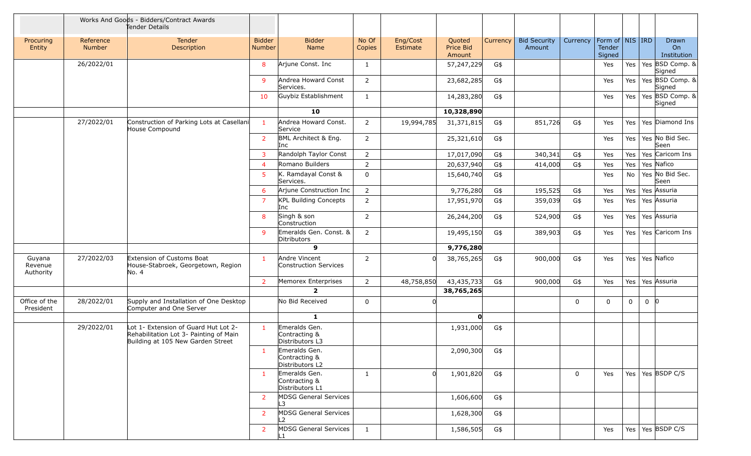|                                |                     | Works And Goods - Bidders/Contract Awards<br>Tender Details                                                         |                                |                                                   |                 |                      |                               |          |                               |             |                                                     |             |             |                            |
|--------------------------------|---------------------|---------------------------------------------------------------------------------------------------------------------|--------------------------------|---------------------------------------------------|-----------------|----------------------|-------------------------------|----------|-------------------------------|-------------|-----------------------------------------------------|-------------|-------------|----------------------------|
| Procuring<br>Entity            | Reference<br>Number | Tender<br>Description                                                                                               | <b>Bidder</b><br><b>Number</b> | <b>Bidder</b><br>Name                             | No Of<br>Copies | Eng/Cost<br>Estimate | Quoted<br>Price Bid<br>Amount | Currency | <b>Bid Security</b><br>Amount | Currency    | Form of $\vert$ NIS $\vert$ IRD<br>Tender<br>Signed |             |             | Drawn<br>On<br>Institution |
|                                | 26/2022/01          |                                                                                                                     | 8                              | Arjune Const. Inc                                 | $\mathbf{1}$    |                      | 57,247,229                    | G\$      |                               |             | Yes                                                 | Yes         |             | Yes BSD Comp. &<br>Signed  |
|                                |                     |                                                                                                                     | 9                              | Andrea Howard Const<br>Services.                  | $\overline{2}$  |                      | 23,682,285                    | G\$      |                               |             | Yes                                                 | Yes         |             | Yes BSD Comp. &<br>Signed  |
|                                |                     |                                                                                                                     | 10                             | Guybiz Establishment                              | $\mathbf{1}$    |                      | 14,283,280                    | G\$      |                               |             | Yes                                                 | Yes         |             | Yes BSD Comp. &<br>Signed  |
|                                |                     |                                                                                                                     |                                | 10                                                |                 |                      | 10,328,890                    |          |                               |             |                                                     |             |             |                            |
|                                | 27/2022/01          | Construction of Parking Lots at Casellani<br>House Compound                                                         | $\mathbf{1}$                   | Andrea Howard Const.<br>Service                   | $\overline{2}$  | 19,994,785           | 31,371,815                    | G\$      | 851,726                       | G\$         | Yes                                                 | Yes         |             | Yes Diamond Ins            |
|                                |                     |                                                                                                                     | $\overline{2}$                 | BML Architect & Eng.<br>Inc                       | $\overline{2}$  |                      | 25,321,610                    | G\$      |                               |             | Yes                                                 | Yes         |             | Yes No Bid Sec.<br>Seen    |
|                                |                     |                                                                                                                     | 3                              | Randolph Taylor Const                             | $\overline{2}$  |                      | 17,017,090                    | G\$      | 340,341                       | G\$         | Yes                                                 | Yes         |             | Yes Caricom Ins            |
|                                |                     |                                                                                                                     | $\overline{4}$                 | Romano Builders                                   | $\overline{2}$  |                      | 20,637,940                    | G\$      | 414,000                       | G\$         | Yes                                                 | Yes         |             | Yes Nafico                 |
|                                |                     |                                                                                                                     | 5                              | K. Ramdayal Const &<br>Services.                  | $\mathbf 0$     |                      | 15,640,740                    | G\$      |                               |             | Yes                                                 | No          |             | Yes No Bid Sec.<br>Seen    |
|                                |                     |                                                                                                                     | 6                              | Arjune Construction Inc                           | $\overline{2}$  |                      | 9,776,280                     | G\$      | 195,525                       | G\$         | Yes                                                 | Yes         |             | Yes Assuria                |
|                                |                     |                                                                                                                     | $\overline{7}$                 | <b>KPL Building Concepts</b><br>Inc               | $\overline{2}$  |                      | 17,951,970                    | G\$      | 359,039                       | G\$         | Yes                                                 | Yes         |             | Yes Assuria                |
|                                |                     |                                                                                                                     | 8                              | Singh & son<br>Construction                       | $\overline{2}$  |                      | 26,244,200                    | G\$      | 524,900                       | G\$         | Yes                                                 | Yes         |             | Yes Assuria                |
|                                |                     |                                                                                                                     | 9                              | Emeralds Gen. Const. &<br>Ditributors             | $\overline{2}$  |                      | 19,495,150                    | G\$      | 389,903                       | G\$         | Yes                                                 | Yes         |             | Yes Caricom Ins            |
|                                |                     |                                                                                                                     |                                | 9                                                 |                 |                      | 9,776,280                     |          |                               |             |                                                     |             |             |                            |
| Guyana<br>Revenue<br>Authority | 27/2022/03          | Extension of Customs Boat<br>House-Stabroek, Georgetown, Region<br>No. 4                                            | $\mathbf{1}$                   | Andre Vincent<br>Construction Services            | $\overline{2}$  |                      | 38,765,265                    | G\$      | 900,000                       | G\$         | Yes                                                 | Yes         |             | Yes Nafico                 |
|                                |                     |                                                                                                                     | 2                              | Memorex Enterprises                               | $\overline{2}$  | 48,758,850           | 43,435,733                    | G\$      | 900,000                       | G\$         | Yes                                                 | Yes         |             | Yes Assuria                |
|                                |                     |                                                                                                                     |                                | $\overline{2}$                                    |                 |                      | 38,765,265                    |          |                               |             |                                                     |             |             |                            |
| Office of the<br>President     | 28/2022/01          | Supply and Installation of One Desktop<br>Computer and One Server                                                   |                                | No Bid Received                                   | $\mathbf 0$     |                      |                               |          |                               | $\mathbf 0$ | $\Omega$                                            | $\mathbf 0$ | $0 \vert 0$ |                            |
|                                |                     |                                                                                                                     |                                | $\mathbf{1}$                                      |                 |                      | O                             |          |                               |             |                                                     |             |             |                            |
|                                | 29/2022/01          | Lot 1- Extension of Guard Hut Lot 2-<br>Rehabilitation Lot 3- Painting of Main<br>Building at 105 New Garden Street | $\mathbf{1}$                   | Emeralds Gen.<br>Contracting &<br>Distributors L3 |                 |                      | 1,931,000                     | G\$      |                               |             |                                                     |             |             |                            |
|                                |                     |                                                                                                                     | $\mathbf{1}$                   | Emeralds Gen.<br>Contracting &<br>Distributors L2 |                 |                      | 2,090,300                     | G\$      |                               |             |                                                     |             |             |                            |
|                                |                     |                                                                                                                     |                                | Emeralds Gen.<br>Contracting &<br>Distributors L1 | $\mathbf{1}$    |                      | 1,901,820                     | G\$      |                               | 0           | Yes                                                 |             |             | Yes   Yes   BSDP C/S       |
|                                |                     |                                                                                                                     | $\overline{2}$                 | MDSG General Services<br>L3                       |                 |                      | 1,606,600                     | G\$      |                               |             |                                                     |             |             |                            |
|                                |                     |                                                                                                                     | $\overline{2}$                 | MDSG General Services<br>L2                       |                 |                      | 1,628,300                     | G\$      |                               |             |                                                     |             |             |                            |
|                                |                     |                                                                                                                     | $\overline{2}$                 | <b>MDSG General Services</b>                      | $\mathbf{1}$    |                      | 1,586,505                     | G\$      |                               |             | Yes                                                 | Yes         |             | Yes BSDP C/S               |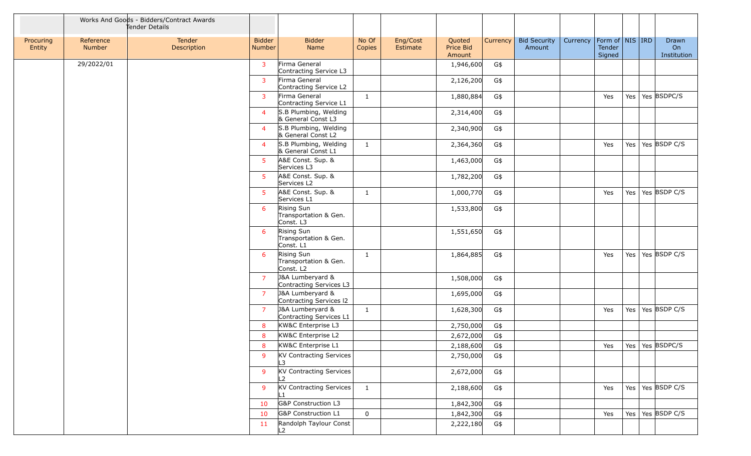|                     |                     | Works And Goods - Bidders/Contract Awards<br>Tender Details |                         |                                                  |                 |                      |                               |          |                               |          |                                                     |     |                            |
|---------------------|---------------------|-------------------------------------------------------------|-------------------------|--------------------------------------------------|-----------------|----------------------|-------------------------------|----------|-------------------------------|----------|-----------------------------------------------------|-----|----------------------------|
| Procuring<br>Entity | Reference<br>Number | Tender<br>Description                                       | <b>Bidder</b><br>Number | <b>Bidder</b><br>Name                            | No Of<br>Copies | Eng/Cost<br>Estimate | Quoted<br>Price Bid<br>Amount | Currency | <b>Bid Security</b><br>Amount | Currency | Form of $\vert$ NIS $\vert$ IRD<br>Tender<br>Signed |     | Drawn<br>On<br>Institution |
|                     | 29/2022/01          |                                                             | 3                       | Firma General<br>Contracting Service L3          |                 |                      | 1,946,600                     | G\$      |                               |          |                                                     |     |                            |
|                     |                     |                                                             | 3                       | Firma General<br>Contracting Service L2          |                 |                      | 2,126,200                     | G\$      |                               |          |                                                     |     |                            |
|                     |                     |                                                             | 3                       | Firma General<br>Contracting Service L1          | $\mathbf{1}$    |                      | 1,880,884                     | G\$      |                               |          | Yes                                                 |     | Yes   Yes $ $ BSDPC/S      |
|                     |                     |                                                             | $\overline{4}$          | S.B Plumbing, Welding<br>& General Const L3      |                 |                      | 2,314,400                     | G\$      |                               |          |                                                     |     |                            |
|                     |                     |                                                             | $\overline{4}$          | S.B Plumbing, Welding<br>& General Const L2      |                 |                      | 2,340,900                     | G\$      |                               |          |                                                     |     |                            |
|                     |                     |                                                             | 4                       | S.B Plumbing, Welding<br>& General Const L1      | $\mathbf{1}$    |                      | 2,364,360                     | G\$      |                               |          | Yes                                                 |     | Yes   Yes $ $ BSDP C/S     |
|                     |                     |                                                             | 5                       | A&E Const. Sup. &<br>Services L3                 |                 |                      | 1,463,000                     | G\$      |                               |          |                                                     |     |                            |
|                     |                     |                                                             | 5                       | A&E Const. Sup. &<br>Services L2                 |                 |                      | 1,782,200                     | G\$      |                               |          |                                                     |     |                            |
|                     |                     |                                                             | 5                       | A&E Const. Sup. &<br>Services L1                 | $\mathbf{1}$    |                      | 1,000,770                     | G\$      |                               |          | Yes                                                 |     | Yes   Yes   BSDP C/S       |
|                     |                     |                                                             | 6                       | Rising Sun<br>Transportation & Gen.<br>Const. L3 |                 |                      | 1,533,800                     | G\$      |                               |          |                                                     |     |                            |
|                     |                     |                                                             | 6                       | Rising Sun<br>Transportation & Gen.<br>Const. L1 |                 |                      | 1,551,650                     | G\$      |                               |          |                                                     |     |                            |
|                     |                     |                                                             | 6                       | Rising Sun<br>Transportation & Gen.<br>Const. L2 | $\mathbf{1}$    |                      | 1,864,885                     | G\$      |                               |          | Yes                                                 | Yes | Yes BSDP C/S               |
|                     |                     |                                                             | $\overline{7}$          | J&A Lumberyard &<br>Contracting Services L3      |                 |                      | 1,508,000                     | G\$      |                               |          |                                                     |     |                            |
|                     |                     |                                                             | $\overline{7}$          | J&A Lumberyard &<br>Contracting Services 12      |                 |                      | 1,695,000                     | G\$      |                               |          |                                                     |     |                            |
|                     |                     |                                                             | $\overline{7}$          | J&A Lumberyard &<br>Contracting Services L1      | 1               |                      | 1,628,300                     | G\$      |                               |          | Yes                                                 |     | Yes   Yes   BSDP C/S       |
|                     |                     |                                                             | 8                       | KW&C Enterprise L3                               |                 |                      | 2,750,000                     | G\$      |                               |          |                                                     |     |                            |
|                     |                     |                                                             | 8                       | KW&C Enterprise L2                               |                 |                      | 2,672,000                     | G\$      |                               |          |                                                     |     |                            |
|                     |                     |                                                             | 8                       | KW&C Enterprise L1                               |                 |                      | 2,188,600                     | G\$      |                               |          |                                                     |     | Yes   Yes   Yes   BSDPC/S  |
|                     |                     |                                                             | 9                       | KV Contracting Services<br>L3                    |                 |                      | 2,750,000                     | G\$      |                               |          |                                                     |     |                            |
|                     |                     |                                                             | 9                       | KV Contracting Services<br>L2                    |                 |                      | 2,672,000                     | G\$      |                               |          |                                                     |     |                            |
|                     |                     |                                                             | 9                       | KV Contracting Services                          | $\mathbf{1}$    |                      | 2,188,600                     | G\$      |                               |          | Yes                                                 |     | Yes   Yes   BSDP C/S       |
|                     |                     |                                                             | 10                      | G&P Construction L3                              |                 |                      | 1,842,300                     | G\$      |                               |          |                                                     |     |                            |
|                     |                     |                                                             | 10                      | <b>G&amp;P</b> Construction L1                   | $\mathbf 0$     |                      | 1,842,300                     | G\$      |                               |          | Yes                                                 |     | Yes   Yes   BSDP C/S       |
|                     |                     |                                                             | 11                      | Randolph Taylour Const<br>L2                     |                 |                      | 2,222,180                     | G\$      |                               |          |                                                     |     |                            |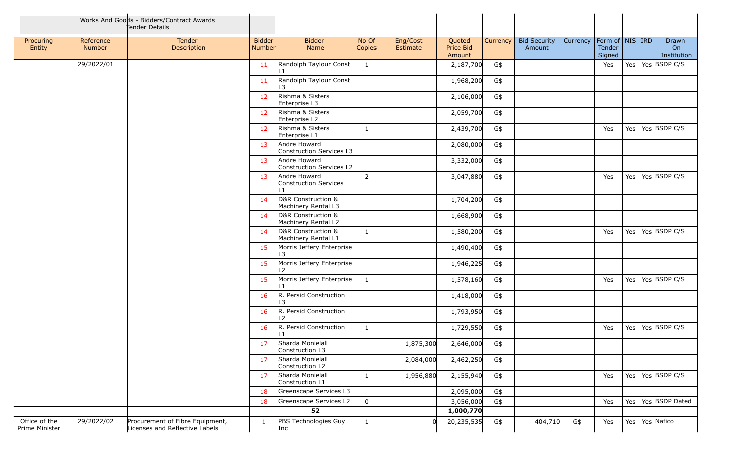|                                 |                     | Works And Goods - Bidders/Contract Awards<br>Tender Details       |                                |                                              |                 |                      |                                      |          |                               |          |                                                     |         |                            |
|---------------------------------|---------------------|-------------------------------------------------------------------|--------------------------------|----------------------------------------------|-----------------|----------------------|--------------------------------------|----------|-------------------------------|----------|-----------------------------------------------------|---------|----------------------------|
| Procuring<br>Entity             | Reference<br>Number | Tender<br><b>Description</b>                                      | <b>Bidder</b><br><b>Number</b> | <b>Bidder</b><br>Name                        | No Of<br>Copies | Eng/Cost<br>Estimate | Quoted<br><b>Price Bid</b><br>Amount | Currency | <b>Bid Security</b><br>Amount | Currency | Form of $\vert$ NIS $\vert$ IRD<br>Tender<br>Signed |         | Drawn<br>On<br>Institution |
|                                 | 29/2022/01          |                                                                   | 11                             | Randolph Taylour Const                       | 1               |                      | 2,187,700                            | G\$      |                               |          | Yes                                                 | Yes     | Yes BSDP C/S               |
|                                 |                     |                                                                   | 11                             | Randolph Taylour Const<br>3                  |                 |                      | 1,968,200                            | G\$      |                               |          |                                                     |         |                            |
|                                 |                     |                                                                   | 12                             | Rishma & Sisters<br>Enterprise L3            |                 |                      | 2,106,000                            | G\$      |                               |          |                                                     |         |                            |
|                                 |                     |                                                                   | 12                             | Rishma & Sisters<br>Enterprise L2            |                 |                      | 2,059,700                            | G\$      |                               |          |                                                     |         |                            |
|                                 |                     |                                                                   | 12                             | Rishma & Sisters<br>Enterprise L1            | 1               |                      | 2,439,700                            | G\$      |                               |          | Yes                                                 | Yes     | Yes BSDP C/S               |
|                                 |                     |                                                                   | 13                             | Andre Howard<br>Construction Services L3     |                 |                      | 2,080,000                            | G\$      |                               |          |                                                     |         |                            |
|                                 |                     |                                                                   | 13                             | Andre Howard<br>Construction Services L2     |                 |                      | 3,332,000                            | G\$      |                               |          |                                                     |         |                            |
|                                 |                     |                                                                   | 13                             | Andre Howard<br>Construction Services<br>L1. | $\overline{2}$  |                      | 3,047,880                            | G\$      |                               |          | Yes                                                 | Yes $ $ | Yes BSDP C/S               |
|                                 |                     |                                                                   | 14                             | D&R Construction &<br>Machinery Rental L3    |                 |                      | 1,704,200                            | G\$      |                               |          |                                                     |         |                            |
|                                 |                     |                                                                   | 14                             | D&R Construction &<br>Machinery Rental L2    |                 |                      | 1,668,900                            | G\$      |                               |          |                                                     |         |                            |
|                                 |                     |                                                                   | 14                             | D&R Construction &<br>Machinery Rental L1    | 1               |                      | 1,580,200                            | G\$      |                               |          | Yes                                                 | Yes     | Yes BSDP C/S               |
|                                 |                     |                                                                   | 15                             | Morris Jeffery Enterprise<br>L3              |                 |                      | 1,490,400                            | G\$      |                               |          |                                                     |         |                            |
|                                 |                     |                                                                   | 15                             | Morris Jeffery Enterprise<br>L2              |                 |                      | 1,946,225                            | G\$      |                               |          |                                                     |         |                            |
|                                 |                     |                                                                   | 15                             | Morris Jeffery Enterprise                    | 1               |                      | 1,578,160                            | G\$      |                               |          | Yes                                                 | Yes     | Yes BSDP C/S               |
|                                 |                     |                                                                   | 16                             | R. Persid Construction<br>3                  |                 |                      | 1,418,000                            | G\$      |                               |          |                                                     |         |                            |
|                                 |                     |                                                                   | 16                             | R. Persid Construction<br>$\mathcal{P}$      |                 |                      | 1,793,950                            | G\$      |                               |          |                                                     |         |                            |
|                                 |                     |                                                                   | 16                             | R. Persid Construction<br>L1                 | $\mathbf{1}$    |                      | 1,729,550                            | G\$      |                               |          | Yes                                                 | Yes     | Yes BSDP C/S               |
|                                 |                     |                                                                   | 17                             | Sharda Monielall<br>Construction L3          |                 | 1,875,300            | 2,646,000                            | G\$      |                               |          |                                                     |         |                            |
|                                 |                     |                                                                   | 17                             | Sharda Monielall<br>Construction L2          |                 | 2,084,000            | 2,462,250                            | G\$      |                               |          |                                                     |         |                            |
|                                 |                     |                                                                   | 17                             | Sharda Monielall<br>Construction L1          | $\mathbf{1}$    | 1,956,880            | 2,155,940                            | G\$      |                               |          | Yes                                                 | Yes     | Yes BSDP C/S               |
|                                 |                     |                                                                   | 18                             | Greenscape Services L3                       |                 |                      | 2,095,000                            | G\$      |                               |          |                                                     |         |                            |
|                                 |                     |                                                                   | 18                             | Greenscape Services L2                       | 0               |                      | 3,056,000                            | G\$      |                               |          | Yes                                                 | Yes     | Yes BSDP Dated             |
|                                 |                     |                                                                   |                                | 52                                           |                 |                      | 1,000,770                            |          |                               |          |                                                     |         |                            |
| Office of the<br>Prime Minister | 29/2022/02          | Procurement of Fibre Equipment,<br>Licenses and Reflective Labels | $\mathbf{1}$                   | PBS Technologies Guy<br>Inc                  | $\mathbf{1}$    |                      | 20,235,535                           | G\$      | 404,710                       | G\$      | Yes                                                 | Yes     | Yes Nafico                 |